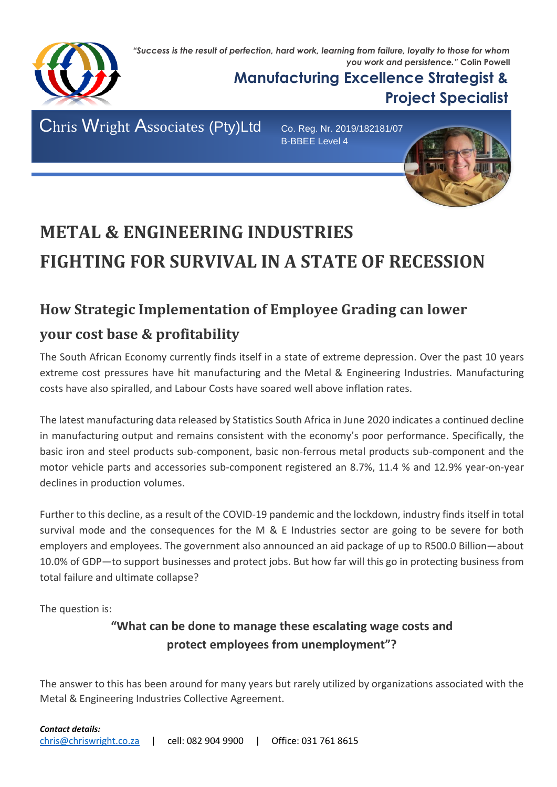*"Success is the result of perfection, hard work, learning from failure, loyalty to those for whom you work and persistence."* **Colin Powell**



**Manufacturing Excellence Strategist & Project Specialist**

Chris Wright Associates (Pty)Ltd Co. Reg. Nr. 2019/182181/07

B-BBEE Level 4



# **METAL & ENGINEERING INDUSTRIES FIGHTING FOR SURVIVAL IN A STATE OF RECESSION**

## **How Strategic Implementation of Employee Grading can lower your cost base & profitability**

The South African Economy currently finds itself in a state of extreme depression. Over the past 10 years extreme cost pressures have hit manufacturing and the Metal & Engineering Industries. Manufacturing costs have also spiralled, and Labour Costs have soared well above inflation rates.

The latest manufacturing data released by Statistics South Africa in June 2020 indicates a continued decline in manufacturing output and remains consistent with the economy's poor performance. Specifically, the basic iron and steel products sub-component, basic non-ferrous metal products sub-component and the motor vehicle parts and accessories sub-component registered an 8.7%, 11.4 % and 12.9% year-on-year declines in production volumes.

Further to this decline, as a result of the COVID-19 pandemic and the lockdown, industry finds itself in total survival mode and the consequences for the M & E Industries sector are going to be severe for both employers and employees. The government also announced an aid package of up to R500.0 Billion—about 10.0% of GDP—to support businesses and protect jobs. But how far will this go in protecting business from total failure and ultimate collapse?

The question is:

#### **"What can be done to manage these escalating wage costs and protect employees from unemployment"?**

The answer to this has been around for many years but rarely utilized by organizations associated with the Metal & Engineering Industries Collective Agreement.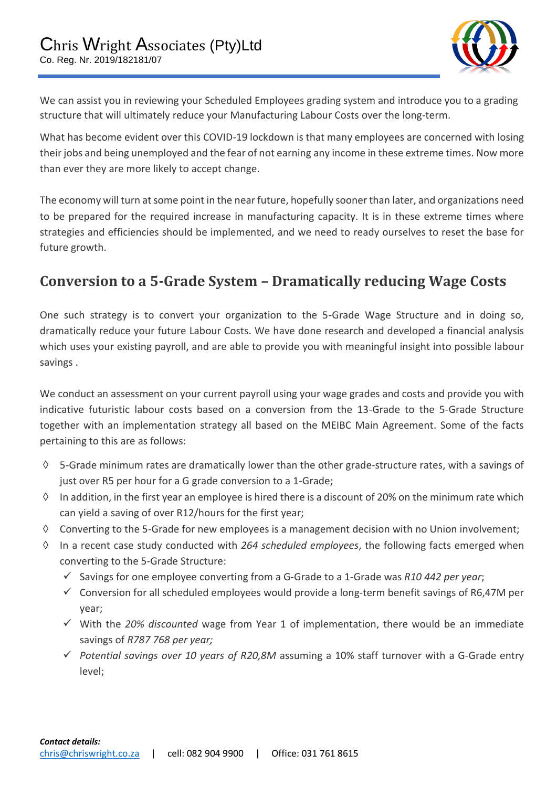

We can assist you in reviewing your Scheduled Employees grading system and introduce you to a grading structure that will ultimately reduce your Manufacturing Labour Costs over the long-term.

What has become evident over this COVID-19 lockdown is that many employees are concerned with losing their jobs and being unemployed and the fear of not earning any income in these extreme times. Now more than ever they are more likely to accept change.

The economy will turn at some point in the near future, hopefully sooner than later, and organizations need to be prepared for the required increase in manufacturing capacity. It is in these extreme times where strategies and efficiencies should be implemented, and we need to ready ourselves to reset the base for future growth.

### **Conversion to a 5-Grade System – Dramatically reducing Wage Costs**

One such strategy is to convert your organization to the 5-Grade Wage Structure and in doing so, dramatically reduce your future Labour Costs. We have done research and developed a financial analysis which uses your existing payroll, and are able to provide you with meaningful insight into possible labour savings .

We conduct an assessment on your current payroll using your wage grades and costs and provide you with indicative futuristic labour costs based on a conversion from the 13-Grade to the 5-Grade Structure together with an implementation strategy all based on the MEIBC Main Agreement. Some of the facts pertaining to this are as follows:

- $\lozenge$  5-Grade minimum rates are dramatically lower than the other grade-structure rates, with a savings of just over R5 per hour for a G grade conversion to a 1-Grade;
- $\Diamond$  In addition, in the first year an employee is hired there is a discount of 20% on the minimum rate which can yield a saving of over R12/hours for the first year;
- $\Diamond$  Converting to the 5-Grade for new employees is a management decision with no Union involvement;
- In a recent case study conducted with *264 scheduled employees*, the following facts emerged when converting to the 5-Grade Structure:
	- ✓ Savings for one employee converting from a G-Grade to a 1-Grade was *R10 442 per year*;
	- $\checkmark$  Conversion for all scheduled employees would provide a long-term benefit savings of R6,47M per year;
	- ✓ With the *20% discounted* wage from Year 1 of implementation, there would be an immediate savings of *R787 768 per year;*
	- ✓ *Potential savings over 10 years of R20,8M* assuming a 10% staff turnover with a G-Grade entry level;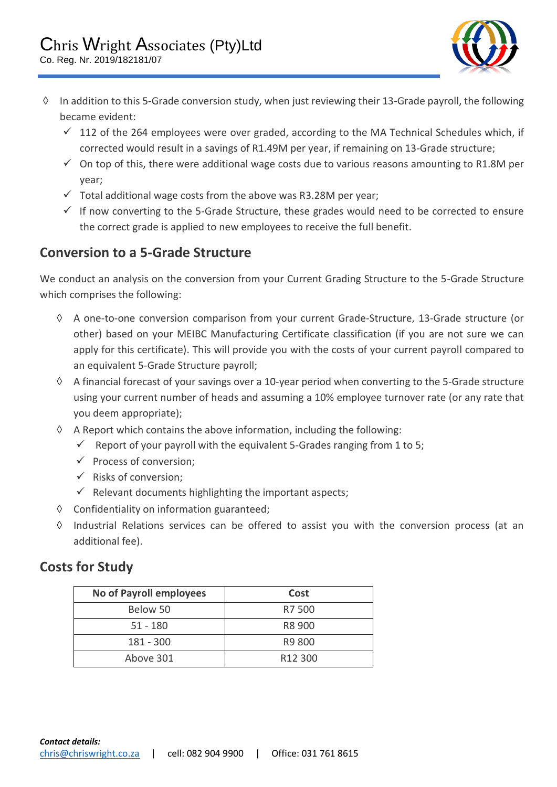

- $\Diamond$  In addition to this 5-Grade conversion study, when just reviewing their 13-Grade payroll, the following became evident:
	- $\checkmark$  112 of the 264 employees were over graded, according to the MA Technical Schedules which, if corrected would result in a savings of R1.49M per year, if remaining on 13-Grade structure;
	- $\checkmark$  On top of this, there were additional wage costs due to various reasons amounting to R1.8M per year;
	- $\checkmark$  Total additional wage costs from the above was R3.28M per year;
	- $\checkmark$  If now converting to the 5-Grade Structure, these grades would need to be corrected to ensure the correct grade is applied to new employees to receive the full benefit.

#### **Conversion to a 5-Grade Structure**

We conduct an analysis on the conversion from your Current Grading Structure to the 5-Grade Structure which comprises the following:

- A one-to-one conversion comparison from your current Grade-Structure, 13-Grade structure (or other) based on your MEIBC Manufacturing Certificate classification (if you are not sure we can apply for this certificate). This will provide you with the costs of your current payroll compared to an equivalent 5-Grade Structure payroll;
- $\Diamond$  A financial forecast of your savings over a 10-year period when converting to the 5-Grade structure using your current number of heads and assuming a 10% employee turnover rate (or any rate that you deem appropriate);
- $\Diamond$  A Report which contains the above information, including the following:
	- $\checkmark$  Report of your payroll with the equivalent 5-Grades ranging from 1 to 5;
	- $\checkmark$  Process of conversion:
	- $\checkmark$  Risks of conversion;
	- $\checkmark$  Relevant documents highlighting the important aspects;
- $\Diamond$  Confidentiality on information guaranteed;
- $\Diamond$  Industrial Relations services can be offered to assist you with the conversion process (at an additional fee).

#### **Costs for Study**

| <b>No of Payroll employees</b> | Cost                |
|--------------------------------|---------------------|
| Below 50                       | R7 500              |
| $51 - 180$                     | R8 900              |
| 181 - 300                      | R9 800              |
| Above 301                      | R <sub>12</sub> 300 |